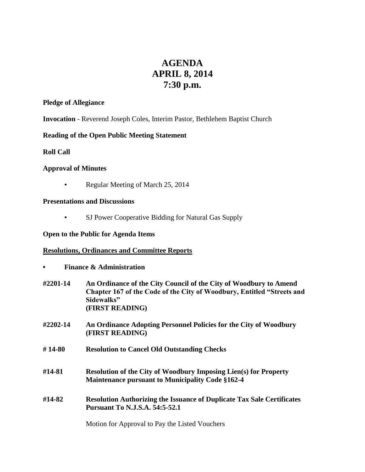# **AGENDA APRIL 8, 2014 7:30 p.m.**

#### **Pledge of Allegiance**

**Invocation** - Reverend Joseph Coles, Interim Pastor, Bethlehem Baptist Church

# **Reading of the Open Public Meeting Statement**

**Roll Call**

### **Approval of Minutes**

**•** Regular Meeting of March 25, 2014

### **Presentations and Discussions**

▪ SJ Power Cooperative Bidding for Natural Gas Supply

# **Open to the Public for Agenda Items**

## **Resolutions, Ordinances and Committee Reports**

**• Finance & Administration**

| #2201-14 | An Ordinance of the City Council of the City of Woodbury to Amend<br>Chapter 167 of the Code of the City of Woodbury, Entitled "Streets and<br>Sidewalks"<br>(FIRST READING) |
|----------|------------------------------------------------------------------------------------------------------------------------------------------------------------------------------|
| #2202-14 | An Ordinance Adopting Personnel Policies for the City of Woodbury<br>(FIRST READING)                                                                                         |
| #14-80   | <b>Resolution to Cancel Old Outstanding Checks</b>                                                                                                                           |
| #14-81   | <b>Resolution of the City of Woodbury Imposing Lien(s) for Property</b><br><b>Maintenance pursuant to Municipality Code §162-4</b>                                           |
| #14-82   | <b>Resolution Authorizing the Issuance of Duplicate Tax Sale Certificates</b><br><b>Pursuant To N.J.S.A. 54:5-52.1</b>                                                       |
|          | Motion for Approval to Pay the Listed Vouchers                                                                                                                               |